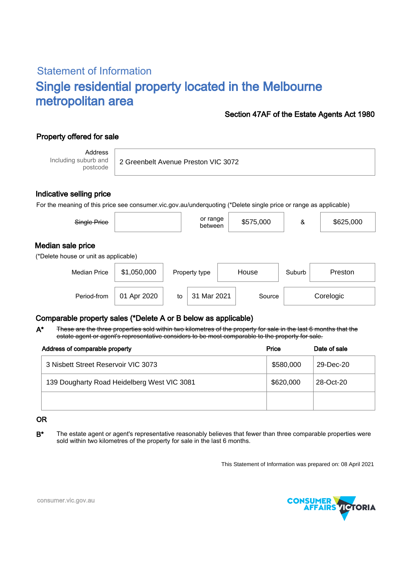# Statement of Information Single residential property located in the Melbourne metropolitan area

### Section 47AF of the Estate Agents Act 1980

## Property offered for sale

Address Including suburb and postcode

2 Greenbelt Avenue Preston VIC 3072

### Indicative selling price

For the meaning of this price see consumer.vic.gov.au/underquoting (\*Delete single price or range as applicable)

| Single Price                                               |             |    | or range<br>between |        | \$575,000 | &         | \$625,000 |  |  |  |  |  |
|------------------------------------------------------------|-------------|----|---------------------|--------|-----------|-----------|-----------|--|--|--|--|--|
| Median sale price<br>(*Delete house or unit as applicable) |             |    |                     |        |           |           |           |  |  |  |  |  |
| <b>Median Price</b>                                        | \$1,050,000 |    | Property type       | House  |           | Suburb    | Preston   |  |  |  |  |  |
| Period-from                                                | 01 Apr 2020 | to | 31 Mar 2021         | Source |           | Corelogic |           |  |  |  |  |  |

### Comparable property sales (\*Delete A or B below as applicable)

These are the three properties sold within two kilometres of the property for sale in the last 6 months that the estate agent or agent's representative considers to be most comparable to the property for sale. A\*

| Address of comparable property              | Price     | Date of sale |
|---------------------------------------------|-----------|--------------|
| 3 Nisbett Street Reservoir VIC 3073         | \$580,000 | 29-Dec-20    |
| 139 Dougharty Road Heidelberg West VIC 3081 | \$620,000 | 28-Oct-20    |
|                                             |           |              |

#### OR

B<sup>\*</sup> The estate agent or agent's representative reasonably believes that fewer than three comparable properties were sold within two kilometres of the property for sale in the last 6 months.

This Statement of Information was prepared on: 08 April 2021



consumer.vic.gov.au